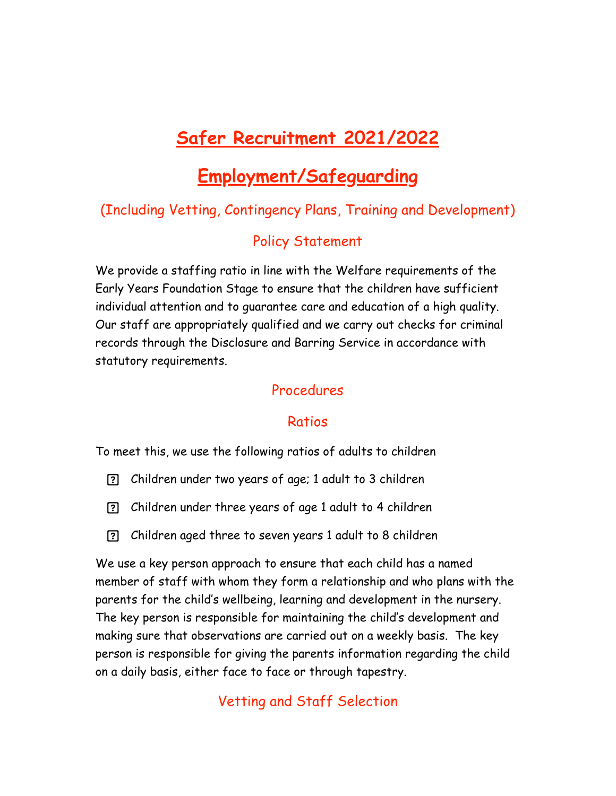# **Safer Recruitment 2021/2022**

## **Employment/Safeguarding**

## (Including Vetting, Contingency Plans, Training and Development)

## Policy Statement

We provide a staffing ratio in line with the Welfare requirements of the Early Years Foundation Stage to ensure that the children have sufficient individual attention and to guarantee care and education of a high quality. Our staff are appropriately qualified and we carry out checks for criminal records through the Disclosure and Barring Service in accordance with statutory requirements.

#### Procedures

#### Ratios

To meet this, we use the following ratios of adults to children

- Children under two years of age; 1 adult to 3 children
- Children under three years of age 1 adult to 4 children
- Children aged three to seven years 1 adult to 8 children

We use a key person approach to ensure that each child has a named member of staff with whom they form a relationship and who plans with the parents for the child's wellbeing, learning and development in the nursery. The key person is responsible for maintaining the child's development and making sure that observations are carried out on a weekly basis. The key person is responsible for giving the parents information regarding the child on a daily basis, either face to face or through tapestry.

Vetting and Staff Selection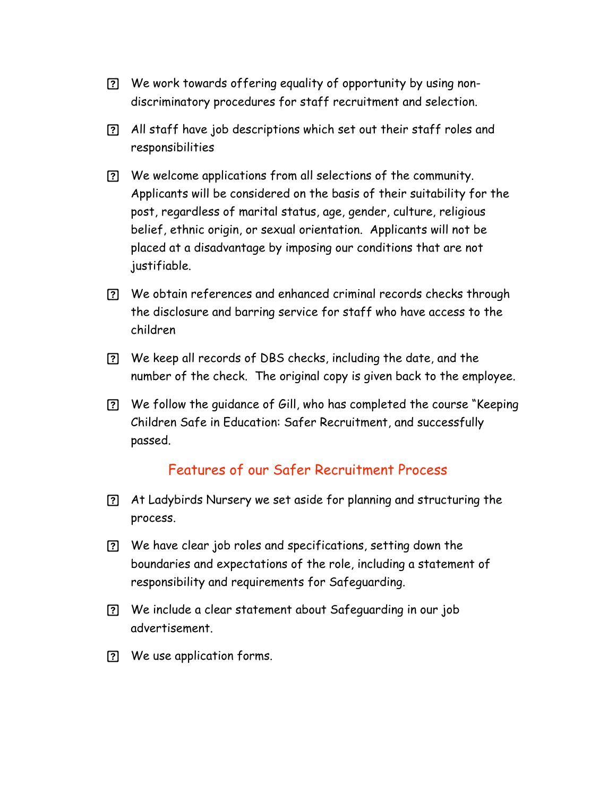- We work towards offering equality of opportunity by using nondiscriminatory procedures for staff recruitment and selection.
- All staff have job descriptions which set out their staff roles and responsibilities
- We welcome applications from all selections of the community. Applicants will be considered on the basis of their suitability for the post, regardless of marital status, age, gender, culture, religious belief, ethnic origin, or sexual orientation. Applicants will not be placed at a disadvantage by imposing our conditions that are not justifiable.
- We obtain references and enhanced criminal records checks through the disclosure and barring service for staff who have access to the children
- We keep all records of DBS checks, including the date, and the number of the check. The original copy is given back to the employee.
- We follow the guidance of Gill, who has completed the course "Keeping Children Safe in Education: Safer Recruitment, and successfully passed.

#### Features of our Safer Recruitment Process

- At Ladybirds Nursery we set aside for planning and structuring the process.
- We have clear job roles and specifications, setting down the boundaries and expectations of the role, including a statement of responsibility and requirements for Safeguarding.
- We include a clear statement about Safeguarding in our job advertisement.
- We use application forms.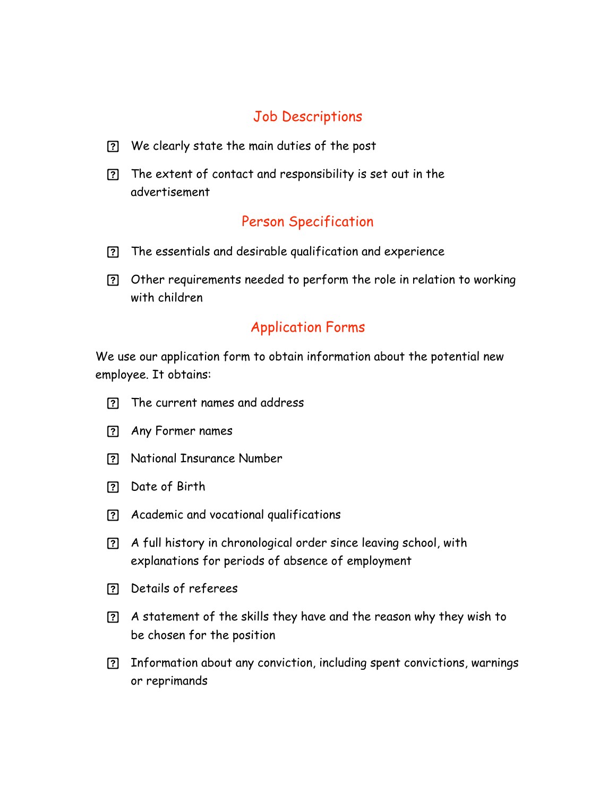## Job Descriptions

- We clearly state the main duties of the post
- The extent of contact and responsibility is set out in the advertisement

## Person Specification

- The essentials and desirable qualification and experience
- Other requirements needed to perform the role in relation to working with children

## Application Forms

We use our application form to obtain information about the potential new employee. It obtains:

- The current names and address
- Any Former names
- National Insurance Number
- Date of Birth
- Academic and vocational qualifications
- A full history in chronological order since leaving school, with explanations for periods of absence of employment
- Details of referees
- A statement of the skills they have and the reason why they wish to be chosen for the position
- Information about any conviction, including spent convictions, warnings or reprimands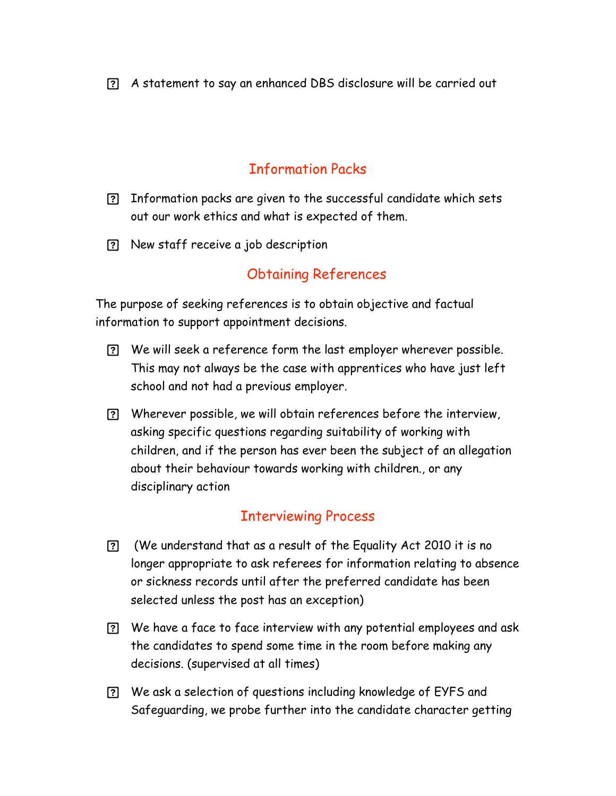A statement to say an enhanced DBS disclosure will be carried out

## Information Packs

- Information packs are given to the successful candidate which sets out our work ethics and what is expected of them.
- New staff receive a job description

#### Obtaining References

The purpose of seeking references is to obtain objective and factual information to support appointment decisions.

- We will seek a reference form the last employer wherever possible. This may not always be the case with apprentices who have just left school and not had a previous employer.
- Wherever possible, we will obtain references before the interview, asking specific questions regarding suitability of working with children, and if the person has ever been the subject of an allegation about their behaviour towards working with children., or any disciplinary action

#### Interviewing Process

- (We understand that as a result of the Equality Act 2010 it is no longer appropriate to ask referees for information relating to absence or sickness records until after the preferred candidate has been selected unless the post has an exception)
- We have a face to face interview with any potential employees and ask the candidates to spend some time in the room before making any decisions. (supervised at all times)
- We ask a selection of questions including knowledge of EYFS and Safeguarding, we probe further into the candidate character getting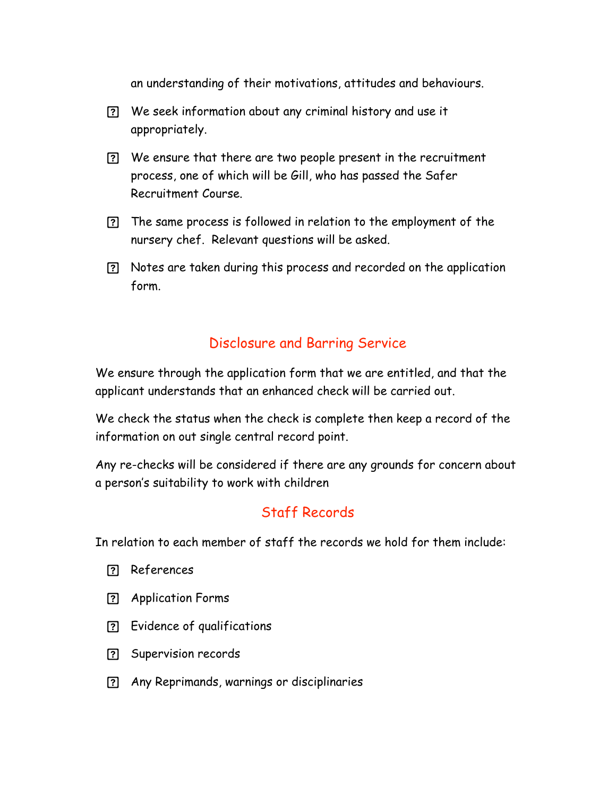an understanding of their motivations, attitudes and behaviours.

- We seek information about any criminal history and use it appropriately.
- We ensure that there are two people present in the recruitment process, one of which will be Gill, who has passed the Safer Recruitment Course.
- The same process is followed in relation to the employment of the nursery chef. Relevant questions will be asked.
- Notes are taken during this process and recorded on the application form.

#### Disclosure and Barring Service

We ensure through the application form that we are entitled, and that the applicant understands that an enhanced check will be carried out.

We check the status when the check is complete then keep a record of the information on out single central record point.

Any re-checks will be considered if there are any grounds for concern about a person's suitability to work with children

## Staff Records

In relation to each member of staff the records we hold for them include:

- References
- Application Forms
- Evidence of qualifications
- Supervision records
- Any Reprimands, warnings or disciplinaries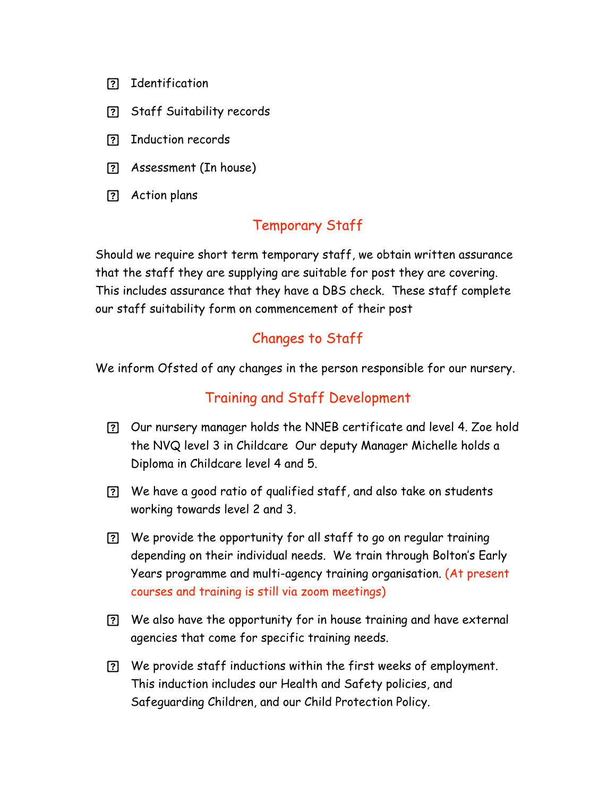- Identification
- Staff Suitability records
- Induction records
- Assessment (In house)
- Action plans

## Temporary Staff

Should we require short term temporary staff, we obtain written assurance that the staff they are supplying are suitable for post they are covering. This includes assurance that they have a DBS check. These staff complete our staff suitability form on commencement of their post

## Changes to Staff

We inform Ofsted of any changes in the person responsible for our nursery.

#### Training and Staff Development

- Our nursery manager holds the NNEB certificate and level 4. Zoe hold the NVQ level 3 in Childcare Our deputy Manager Michelle holds a Diploma in Childcare level 4 and 5.
- We have a good ratio of qualified staff, and also take on students working towards level 2 and 3.
- We provide the opportunity for all staff to go on regular training depending on their individual needs. We train through Bolton's Early Years programme and multi-agency training organisation. (At present courses and training is still via zoom meetings)
- We also have the opportunity for in house training and have external agencies that come for specific training needs.
- We provide staff inductions within the first weeks of employment. This induction includes our Health and Safety policies, and Safeguarding Children, and our Child Protection Policy.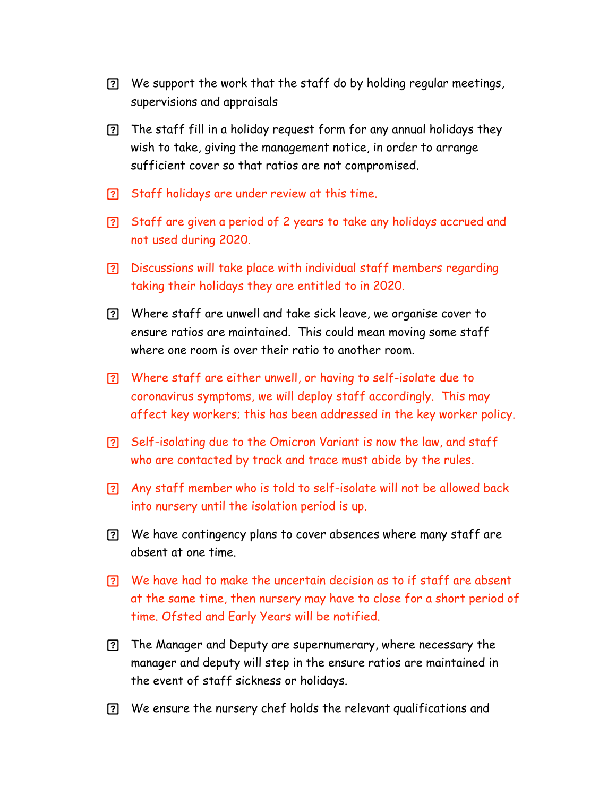- We support the work that the staff do by holding regular meetings, supervisions and appraisals
- The staff fill in a holiday request form for any annual holidays they wish to take, giving the management notice, in order to arrange sufficient cover so that ratios are not compromised.
- Staff holidays are under review at this time.
- Staff are given a period of 2 years to take any holidays accrued and not used during 2020.
- Discussions will take place with individual staff members regarding taking their holidays they are entitled to in 2020.
- Where staff are unwell and take sick leave, we organise cover to ensure ratios are maintained. This could mean moving some staff where one room is over their ratio to another room.
- Where staff are either unwell, or having to self-isolate due to coronavirus symptoms, we will deploy staff accordingly. This may affect key workers; this has been addressed in the key worker policy.
- Self-isolating due to the Omicron Variant is now the law, and staff who are contacted by track and trace must abide by the rules.
- Any staff member who is told to self-isolate will not be allowed back into nursery until the isolation period is up.
- We have contingency plans to cover absences where many staff are absent at one time.
- We have had to make the uncertain decision as to if staff are absent at the same time, then nursery may have to close for a short period of time. Ofsted and Early Years will be notified.
- The Manager and Deputy are supernumerary, where necessary the manager and deputy will step in the ensure ratios are maintained in the event of staff sickness or holidays.
- We ensure the nursery chef holds the relevant qualifications and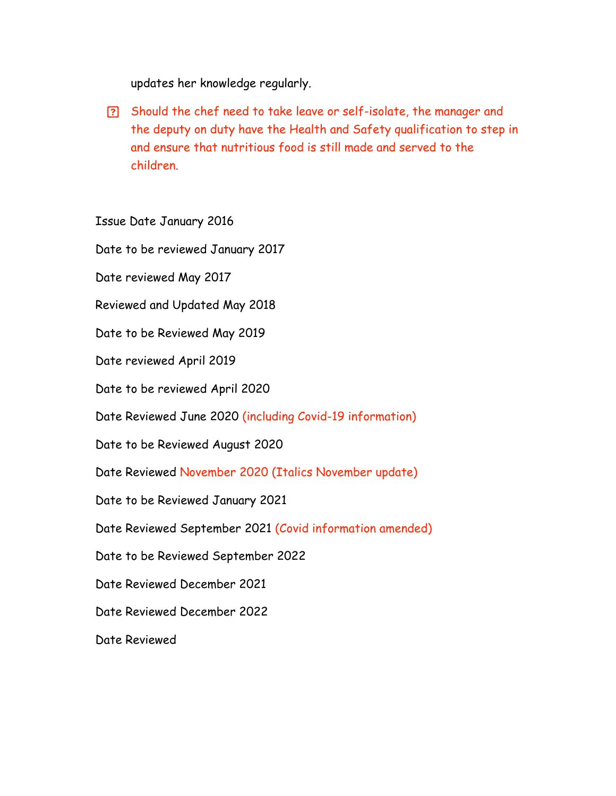updates her knowledge regularly.

 Should the chef need to take leave or self-isolate, the manager and the deputy on duty have the Health and Safety qualification to step in and ensure that nutritious food is still made and served to the children.

Issue Date January 2016

Date to be reviewed January 2017

Date reviewed May 2017

Reviewed and Updated May 2018

Date to be Reviewed May 2019

Date reviewed April 2019

Date to be reviewed April 2020

Date Reviewed June 2020 (including Covid-19 information)

Date to be Reviewed August 2020

Date Reviewed November 2020 (Italics November update)

Date to be Reviewed January 2021

Date Reviewed September 2021 (Covid information amended)

Date to be Reviewed September 2022

Date Reviewed December 2021

Date Reviewed December 2022

Date Reviewed